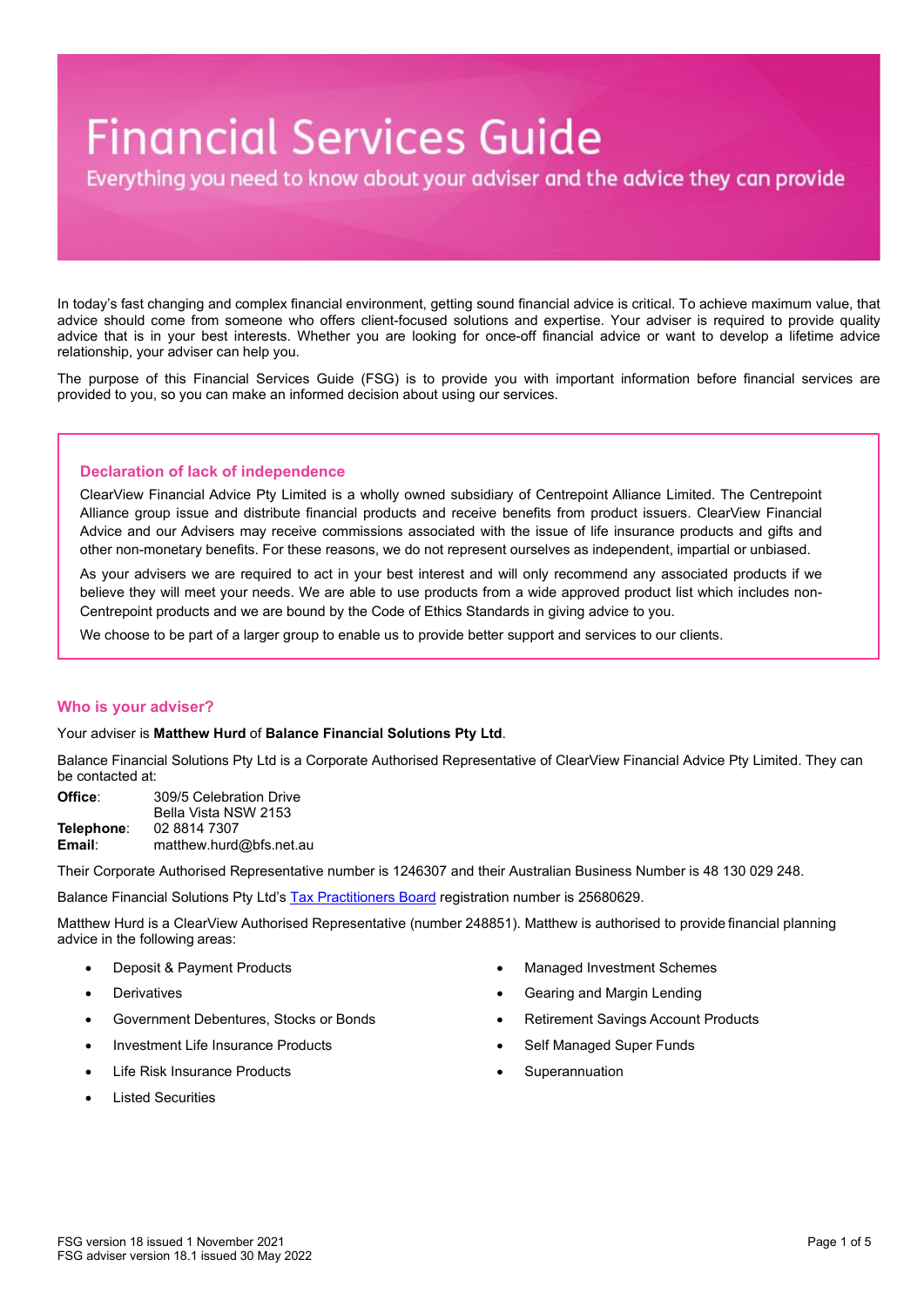# **Financial Services Guide**

Everything you need to know about your adviser and the advice they can provide

In today's fast changing and complex financial environment, getting sound financial advice is critical. To achieve maximum value, that advice should come from someone who offers client-focused solutions and expertise. Your adviser is required to provide quality advice that is in your best interests. Whether you are looking for once-off financial advice or want to develop a lifetime advice relationship, your adviser can help you.

The purpose of this Financial Services Guide (FSG) is to provide you with important information before financial services are provided to you, so you can make an informed decision about using our services.

# **Declaration of lack of independence**

ClearView Financial Advice Pty Limited is a wholly owned subsidiary of Centrepoint Alliance Limited. The Centrepoint Alliance group issue and distribute financial products and receive benefits from product issuers. ClearView Financial Advice and our Advisers may receive commissions associated with the issue of life insurance products and gifts and other non-monetary benefits. For these reasons, we do not represent ourselves as independent, impartial or unbiased.

As your advisers we are required to act in your best interest and will only recommend any associated products if we believe they will meet your needs. We are able to use products from a wide approved product list which includes non-Centrepoint products and we are bound by the Code of Ethics Standards in giving advice to you.

We choose to be part of a larger group to enable us to provide better support and services to our clients.

# **Who is your adviser?**

#### Your adviser is **Matthew Hurd** of **Balance Financial Solutions Pty Ltd**.

Balance Financial Solutions Pty Ltd is a Corporate Authorised Representative of ClearView Financial Advice Pty Limited. They can be contacted at:

**Office**: 309/5 Celebration Drive Bella Vista NSW 2153 **Telephone:** 02 8814 7307<br>**Email:** matthew.hurd **Email**: matthew.hurd@bfs.net.au

Their Corporate Authorised Representative number is 1246307 and their Australian Business Number is 48 130 029 248.

Balance Financial Solutions Pty Ltd's [Tax Practitioners Board](https://www.tpb.gov.au/tax-financial-advisers) registration number is 25680629.

Matthew Hurd is a ClearView Authorised Representative (number 248851). Matthew is authorised to provide financial planning advice in the following areas:

- Deposit & Payment Products
- **Derivatives**
- Government Debentures, Stocks or Bonds
- Investment Life Insurance Products
- Life Risk Insurance Products
- Listed Securities
- Managed Investment Schemes
- Gearing and Margin Lending
- Retirement Savings Account Products
- Self Managed Super Funds
- **Superannuation**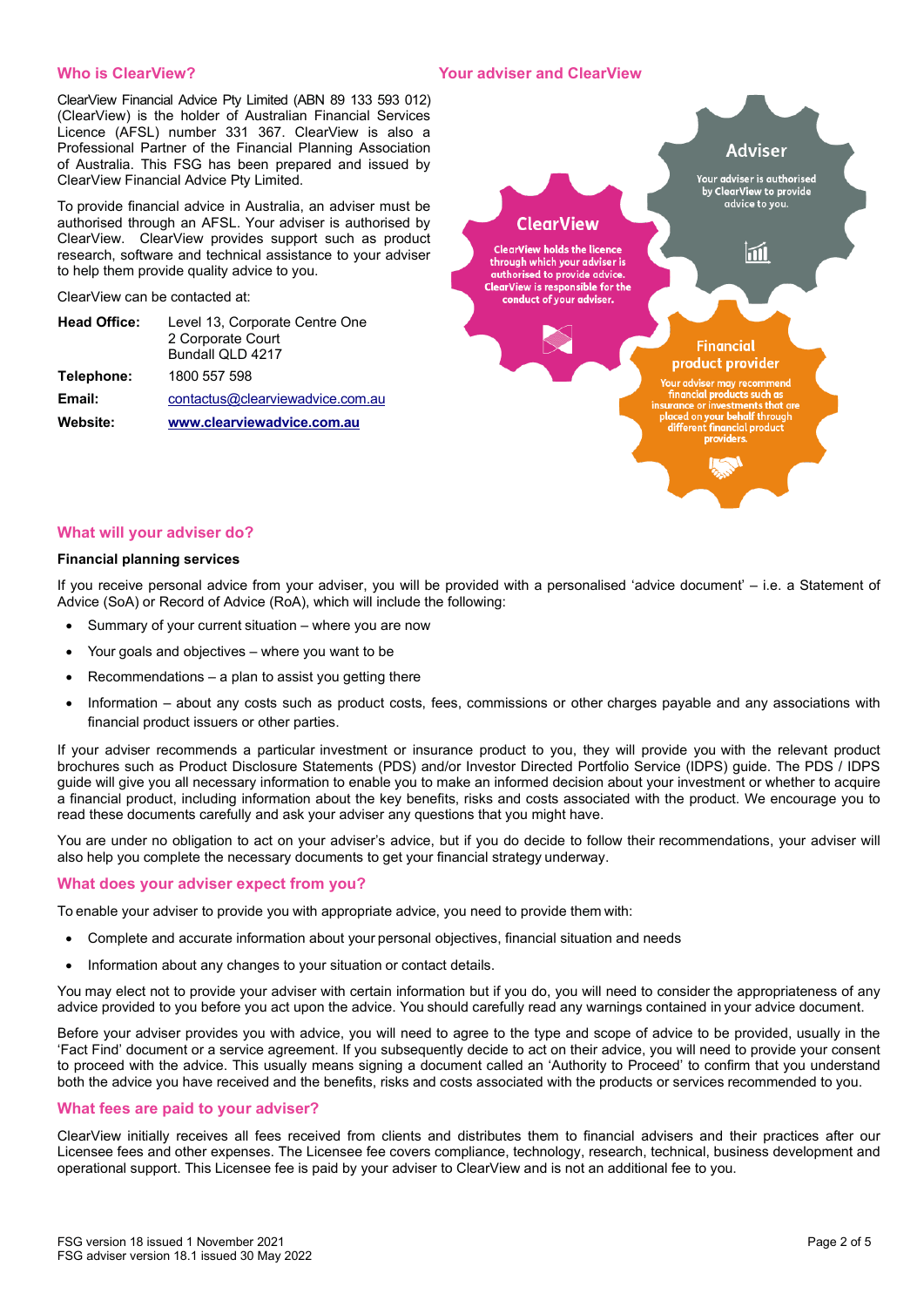# **Who is ClearView?**

#### **Your adviser and ClearView**

ClearView Financial Advice Pty Limited (ABN 89 133 593 012) (ClearView) is the holder of Australian Financial Services Licence (AFSL) number 331 367. ClearView is also a Professional Partner of the Financial Planning Association of Australia. This FSG has been prepared and issued by ClearView Financial Advice Pty Limited.

To provide financial advice in Australia, an adviser must be authorised through an AFSL. Your adviser is authorised by ClearView. ClearView provides support such as product research, software and technical assistance to your adviser to help them provide quality advice to you.

ClearView can be contacted at:

| <b>Head Office:</b> | Level 13, Corporate Centre One<br>2 Corporate Court<br>Bundall QLD 4217 |
|---------------------|-------------------------------------------------------------------------|
| Telephone:          | 1800 557 598                                                            |
| Email:              | contactus@clearviewadvice.com.au                                        |
| Website:            | www.clearviewadvice.com.au                                              |



# **What will your adviser do?**

#### **Financial planning services**

If you receive personal advice from your adviser, you will be provided with a personalised 'advice document' – i.e. a Statement of Advice (SoA) or Record of Advice (RoA), which will include the following:

- Summary of your current situation where you are now
- Your goals and objectives where you want to be
- $Recommendations a plan to assist you getting there$
- Information about any costs such as product costs, fees, commissions or other charges payable and any associations with financial product issuers or other parties.

If your adviser recommends a particular investment or insurance product to you, they will provide you with the relevant product brochures such as Product Disclosure Statements (PDS) and/or Investor Directed Portfolio Service (IDPS) guide. The PDS / IDPS guide will give you all necessary information to enable you to make an informed decision about your investment or whether to acquire a financial product, including information about the key benefits, risks and costs associated with the product. We encourage you to read these documents carefully and ask your adviser any questions that you might have.

You are under no obligation to act on your adviser's advice, but if you do decide to follow their recommendations, your adviser will also help you complete the necessary documents to get your financial strategy underway.

#### **What does your adviser expect from you?**

To enable your adviser to provide you with appropriate advice, you need to provide them with:

- Complete and accurate information about your personal objectives, financial situation and needs
- Information about any changes to your situation or contact details.

You may elect not to provide your adviser with certain information but if you do, you will need to consider the appropriateness of any advice provided to you before you act upon the advice. You should carefully read any warnings contained in your advice document.

Before your adviser provides you with advice, you will need to agree to the type and scope of advice to be provided, usually in the 'Fact Find' document or a service agreement. If you subsequently decide to act on their advice, you will need to provide your consent to proceed with the advice. This usually means signing a document called an 'Authority to Proceed' to confirm that you understand both the advice you have received and the benefits, risks and costs associated with the products or services recommended to you.

#### **What fees are paid to your adviser?**

ClearView initially receives all fees received from clients and distributes them to financial advisers and their practices after our Licensee fees and other expenses. The Licensee fee covers compliance, technology, research, technical, business development and operational support. This Licensee fee is paid by your adviser to ClearView and is not an additional fee to you.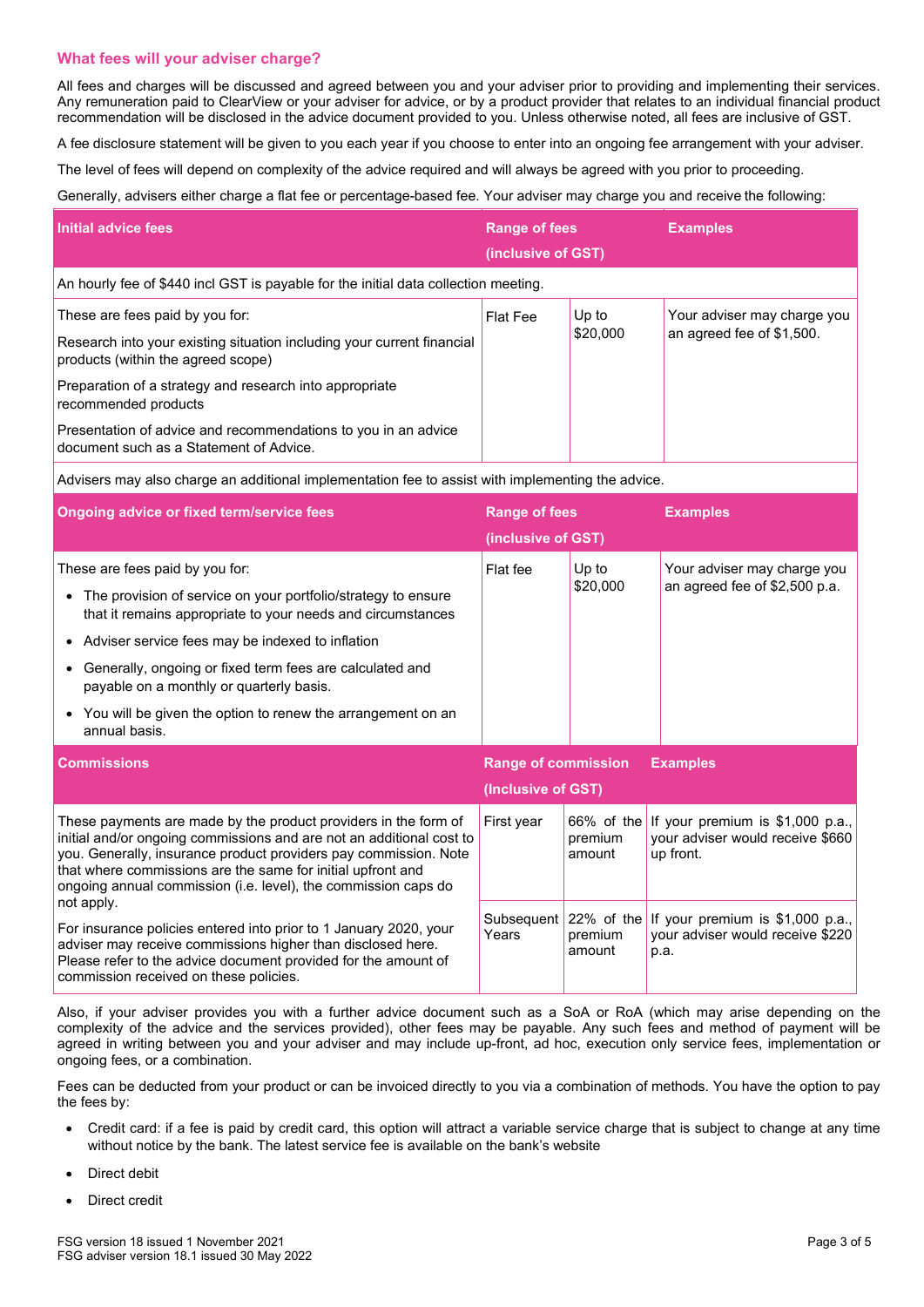# **What fees will your adviser charge?**

All fees and charges will be discussed and agreed between you and your adviser prior to providing and implementing their services. Any remuneration paid to ClearView or your adviser for advice, or by a product provider that relates to an individual financial product recommendation will be disclosed in the advice document provided to you. Unless otherwise noted, all fees are inclusive of GST.

A fee disclosure statement will be given to you each year if you choose to enter into an ongoing fee arrangement with your adviser.

The level of fees will depend on complexity of the advice required and will always be agreed with you prior to proceeding.

Generally, advisers either charge a flat fee or percentage-based fee. Your adviser may charge you and receive the following:

| Initial advice fees                                                                                                                             | <b>Range of fees</b><br>(inclusive of GST) |                   | <b>Examples</b>                                          |
|-------------------------------------------------------------------------------------------------------------------------------------------------|--------------------------------------------|-------------------|----------------------------------------------------------|
| An hourly fee of \$440 incl GST is payable for the initial data collection meeting.                                                             |                                            |                   |                                                          |
| These are fees paid by you for:<br>Research into your existing situation including your current financial<br>products (within the agreed scope) | <b>Flat Fee</b>                            | Up to<br>\$20,000 | Your adviser may charge you<br>an agreed fee of \$1,500. |
| Preparation of a strategy and research into appropriate<br>recommended products                                                                 |                                            |                   |                                                          |
| Presentation of advice and recommendations to you in an advice<br>document such as a Statement of Advice.                                       |                                            |                   |                                                          |

Advisers may also charge an additional implementation fee to assist with implementing the advice.

| <b>Ongoing advice or fixed term/service fees</b>                                                                                                                                                                                                                                                                                                                                                                                          | <b>Range of fees</b><br>(inclusive of GST)                          |                                    | <b>Examples</b>                                                                   |  |
|-------------------------------------------------------------------------------------------------------------------------------------------------------------------------------------------------------------------------------------------------------------------------------------------------------------------------------------------------------------------------------------------------------------------------------------------|---------------------------------------------------------------------|------------------------------------|-----------------------------------------------------------------------------------|--|
| These are fees paid by you for:<br>The provision of service on your portfolio/strategy to ensure<br>$\bullet$<br>that it remains appropriate to your needs and circumstances<br>• Adviser service fees may be indexed to inflation<br>Generally, ongoing or fixed term fees are calculated and<br>$\bullet$<br>payable on a monthly or quarterly basis.<br>• You will be given the option to renew the arrangement on an<br>annual basis. | Flat fee                                                            | Up to<br>\$20,000                  | Your adviser may charge you<br>an agreed fee of \$2,500 p.a.                      |  |
| <b>Commissions</b>                                                                                                                                                                                                                                                                                                                                                                                                                        | <b>Range of commission</b><br><b>Examples</b><br>(Inclusive of GST) |                                    |                                                                                   |  |
| These payments are made by the product providers in the form of<br>initial and/or ongoing commissions and are not an additional cost to<br>you. Generally, insurance product providers pay commission. Note<br>that where commissions are the same for initial upfront and<br>ongoing annual commission (i.e. level), the commission caps do                                                                                              | First year                                                          | $66\%$ of the<br>premium<br>amount | If your premium is \$1,000 p.a.,<br>your adviser would receive \$660<br>up front. |  |
| not apply.<br>For insurance policies entered into prior to 1 January 2020, your<br>adviser may receive commissions higher than disclosed here.                                                                                                                                                                                                                                                                                            | Subsequent<br>Years                                                 | $22\%$ of the<br>premium           | If your premium is \$1,000 p.a.,<br>your adviser would receive \$220              |  |

Also, if your adviser provides you with a further advice document such as a SoA or RoA (which may arise depending on the complexity of the advice and the services provided), other fees may be payable. Any such fees and method of payment will be agreed in writing between you and your adviser and may include up-front, ad hoc, execution only service fees, implementation or ongoing fees, or a combination.

Fees can be deducted from your product or can be invoiced directly to you via a combination of methods. You have the option to pay the fees by:

- Credit card: if a fee is paid by credit card, this option will attract a variable service charge that is subject to change at any time without notice by the bank. The latest service fee is available on the bank's website
- Direct debit
- Direct credit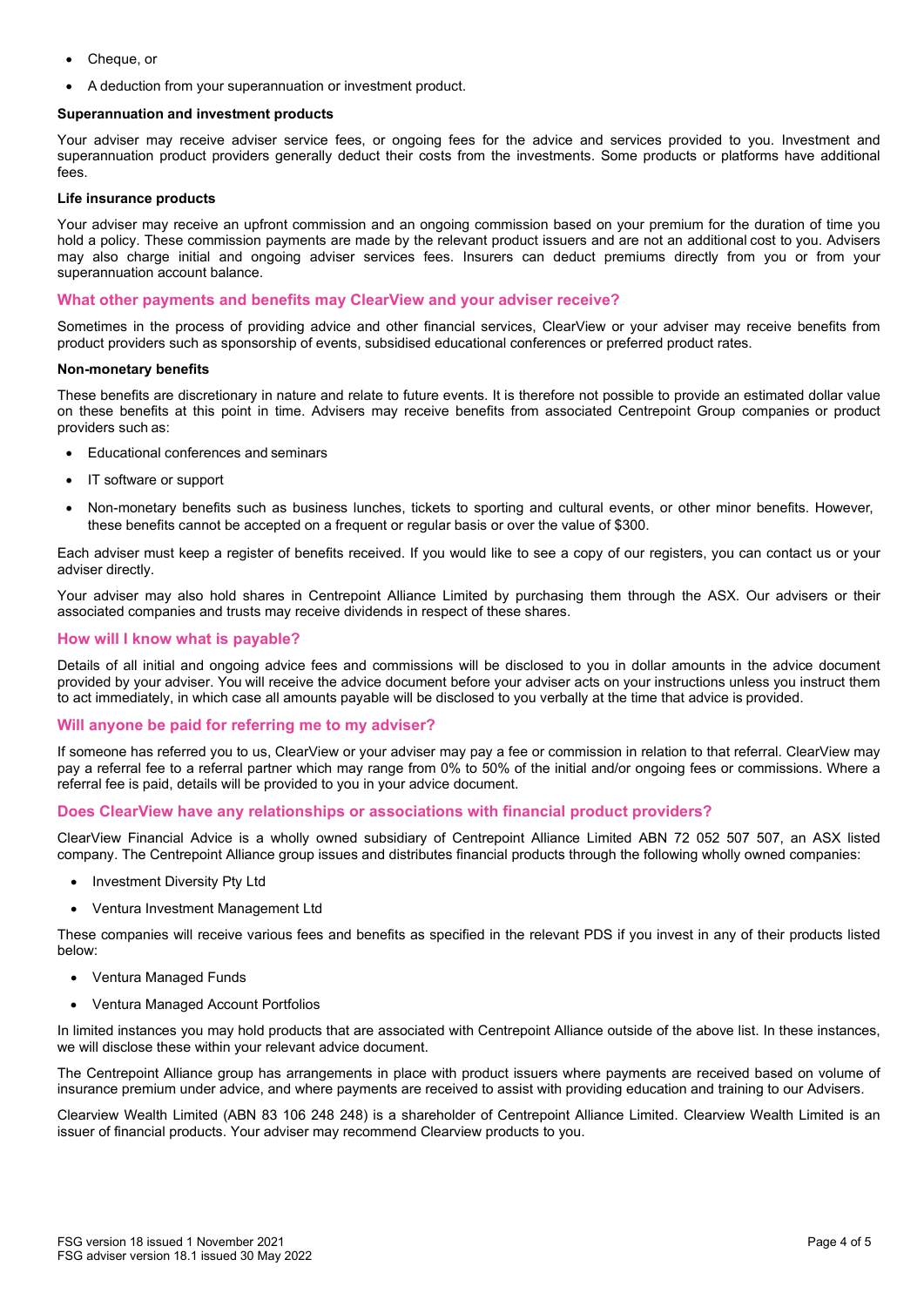- Cheque, or
- A deduction from your superannuation or investment product.

#### **Superannuation and investment products**

Your adviser may receive adviser service fees, or ongoing fees for the advice and services provided to you. Investment and superannuation product providers generally deduct their costs from the investments. Some products or platforms have additional fees.

#### **Life insurance products**

Your adviser may receive an upfront commission and an ongoing commission based on your premium for the duration of time you hold a policy. These commission payments are made by the relevant product issuers and are not an additional cost to you. Advisers may also charge initial and ongoing adviser services fees. Insurers can deduct premiums directly from you or from your superannuation account balance.

#### **What other payments and benefits may ClearView and your adviser receive?**

Sometimes in the process of providing advice and other financial services, ClearView or your adviser may receive benefits from product providers such as sponsorship of events, subsidised educational conferences or preferred product rates.

#### **Non-monetary benefits**

These benefits are discretionary in nature and relate to future events. It is therefore not possible to provide an estimated dollar value on these benefits at this point in time. Advisers may receive benefits from associated Centrepoint Group companies or product providers such as:

- Educational conferences and seminars
- IT software or support
- Non-monetary benefits such as business lunches, tickets to sporting and cultural events, or other minor benefits. However, these benefits cannot be accepted on a frequent or regular basis or over the value of \$300.

Each adviser must keep a register of benefits received. If you would like to see a copy of our registers, you can contact us or your adviser directly.

Your adviser may also hold shares in Centrepoint Alliance Limited by purchasing them through the ASX. Our advisers or their associated companies and trusts may receive dividends in respect of these shares.

#### **How will I know what is payable?**

Details of all initial and ongoing advice fees and commissions will be disclosed to you in dollar amounts in the advice document provided by your adviser. You will receive the advice document before your adviser acts on your instructions unless you instruct them to act immediately, in which case all amounts payable will be disclosed to you verbally at the time that advice is provided.

#### **Will anyone be paid for referring me to my adviser?**

If someone has referred you to us, ClearView or your adviser may pay a fee or commission in relation to that referral. ClearView may pay a referral fee to a referral partner which may range from 0% to 50% of the initial and/or ongoing fees or commissions. Where a referral fee is paid, details will be provided to you in your advice document.

#### **Does ClearView have any relationships or associations with financial product providers?**

ClearView Financial Advice is a wholly owned subsidiary of Centrepoint Alliance Limited ABN 72 052 507 507, an ASX listed company. The Centrepoint Alliance group issues and distributes financial products through the following wholly owned companies:

- Investment Diversity Pty Ltd
- Ventura Investment Management Ltd

These companies will receive various fees and benefits as specified in the relevant PDS if you invest in any of their products listed below:

- Ventura Managed Funds
- Ventura Managed Account Portfolios

In limited instances you may hold products that are associated with Centrepoint Alliance outside of the above list. In these instances, we will disclose these within your relevant advice document.

The Centrepoint Alliance group has arrangements in place with product issuers where payments are received based on volume of insurance premium under advice, and where payments are received to assist with providing education and training to our Advisers.

Clearview Wealth Limited (ABN 83 106 248 248) is a shareholder of Centrepoint Alliance Limited. Clearview Wealth Limited is an issuer of financial products. Your adviser may recommend Clearview products to you.